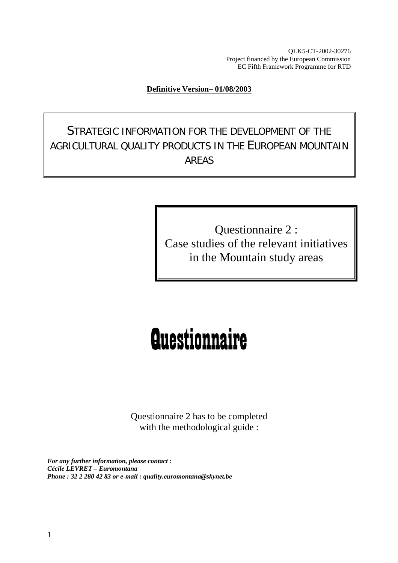QLK5-CT-2002-30276 Project financed by the European Commission EC Fifth Framework Programme for RTD

#### **Definitive Version– 01/08/2003**

STRATEGIC INFORMATION FOR THE DEVELOPMENT OF THE AGRICULTURAL QUALITY PRODUCTS IN THE EUROPEAN MOUNTAIN AREAS

> Questionnaire 2 : Case studies of the relevant initiatives in the Mountain study areas

# **Questionnaire**

Questionnaire 2 has to be completed with the methodological guide :

*For any further information, please contact : Cécile LEVRET – Euromontana Phone : 32 2 280 42 83 or e-mail : quality.euromontana@skynet.be*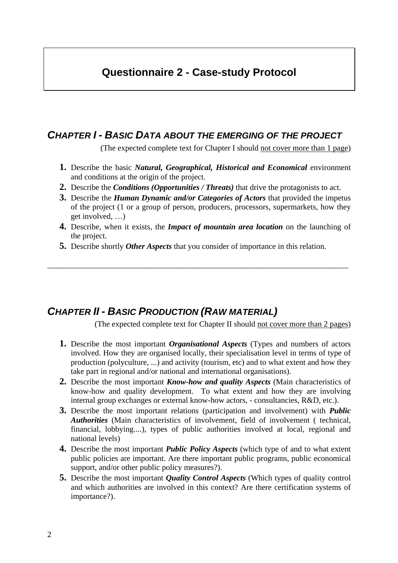## **Questionnaire 2 - Case-study Protocol**

#### *CHAPTER I - BASIC DATA ABOUT THE EMERGING OF THE PROJECT*

(The expected complete text for Chapter I should not cover more than 1 page)

- **1.** Describe the basic *Natural, Geographical, Historical and Economical* environment and conditions at the origin of the project.
- **2.** Describe the *Conditions (Opportunities / Threats)* that drive the protagonists to act.
- **3.** Describe the *Human Dynamic and/or Categories of Actors* that provided the impetus of the project (1 or a group of person, producers, processors, supermarkets, how they get involved, …)
- **4.** Describe, when it exists, the *Impact of mountain area location* on the launching of the project.
- **5.** Describe shortly *Other Aspects* that you consider of importance in this relation.

\_\_\_\_\_\_\_\_\_\_\_\_\_\_\_\_\_\_\_\_\_\_\_\_\_\_\_\_\_\_\_\_\_\_\_\_\_\_\_\_\_\_\_\_\_\_\_\_\_\_\_\_\_\_\_\_\_\_\_\_\_\_\_\_\_\_\_\_\_\_\_\_\_\_\_

#### *CHAPTER II - BASIC PRODUCTION (RAW MATERIAL)*

(The expected complete text for Chapter II should not cover more than 2 pages)

- **1.** Describe the most important *Organisational Aspects* (Types and numbers of actors involved. How they are organised locally, their specialisation level in terms of type of production (polyculture, ...) and activity (tourism, etc) and to what extent and how they take part in regional and/or national and international organisations).
- **2.** Describe the most important *Know-how and quality Aspects* (Main characteristics of know-how and quality development. To what extent and how they are involving internal group exchanges or external know-how actors, - consultancies, R&D, etc.).
- **3.** Describe the most important relations (participation and involvement) with *Public Authorities* (Main characteristics of involvement, field of involvement ( technical, financial, lobbying....), types of public authorities involved at local, regional and national levels)
- **4.** Describe the most important *Public Policy Aspects* (which type of and to what extent public policies are important. Are there important public programs, public economical support, and/or other public policy measures?).
- **5.** Describe the most important *Quality Control Aspects* (Which types of quality control and which authorities are involved in this context? Are there certification systems of importance?).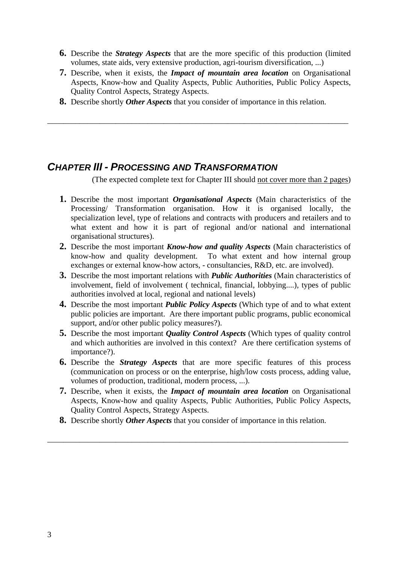- **6.** Describe the *Strategy Aspects* that are the more specific of this production (limited volumes, state aids, very extensive production, agri-tourism diversification, ...)
- **7.** Describe, when it exists, the *Impact of mountain area location* on Organisational Aspects, Know-how and Quality Aspects, Public Authorities, Public Policy Aspects, Quality Control Aspects, Strategy Aspects.
- **8.** Describe shortly *Other Aspects* that you consider of importance in this relation.

\_\_\_\_\_\_\_\_\_\_\_\_\_\_\_\_\_\_\_\_\_\_\_\_\_\_\_\_\_\_\_\_\_\_\_\_\_\_\_\_\_\_\_\_\_\_\_\_\_\_\_\_\_\_\_\_\_\_\_\_\_\_\_\_\_\_\_\_\_\_\_\_\_\_\_

#### *CHAPTER III - PROCESSING AND TRANSFORMATION*

(The expected complete text for Chapter III should not cover more than 2 pages)

- **1.** Describe the most important *Organisational Aspects* (Main characteristics of the Processing/ Transformation organisation. How it is organised locally, the specialization level, type of relations and contracts with producers and retailers and to what extent and how it is part of regional and/or national and international organisational structures).
- **2.** Describe the most important *Know-how and quality Aspects* (Main characteristics of know-how and quality development. To what extent and how internal group exchanges or external know-how actors, - consultancies, R&D, etc. are involved).
- **3.** Describe the most important relations with *Public Authorities* (Main characteristics of involvement, field of involvement ( technical, financial, lobbying....), types of public authorities involved at local, regional and national levels)
- **4.** Describe the most important *Public Policy Aspects* (Which type of and to what extent public policies are important. Are there important public programs, public economical support, and/or other public policy measures?).
- **5.** Describe the most important *Quality Control Aspects* (Which types of quality control and which authorities are involved in this context? Are there certification systems of importance?).
- **6.** Describe the *Strategy Aspects* that are more specific features of this process (communication on process or on the enterprise, high/low costs process, adding value, volumes of production, traditional, modern process, ...).
- **7.** Describe, when it exists, the *Impact of mountain area location* on Organisational Aspects, Know-how and quality Aspects, Public Authorities, Public Policy Aspects, Quality Control Aspects, Strategy Aspects.
- **8.** Describe shortly *Other Aspects* that you consider of importance in this relation.

\_\_\_\_\_\_\_\_\_\_\_\_\_\_\_\_\_\_\_\_\_\_\_\_\_\_\_\_\_\_\_\_\_\_\_\_\_\_\_\_\_\_\_\_\_\_\_\_\_\_\_\_\_\_\_\_\_\_\_\_\_\_\_\_\_\_\_\_\_\_\_\_\_\_\_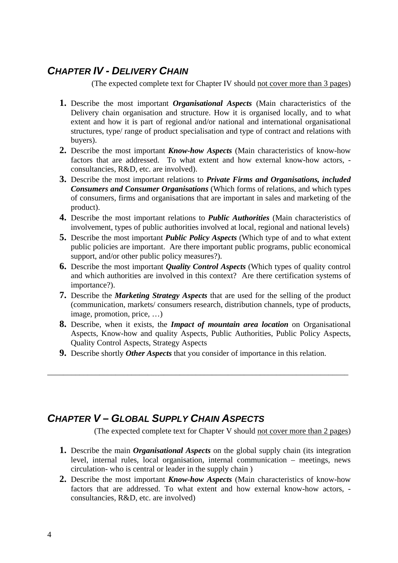# *CHAPTER IV - DELIVERY CHAIN*

(The expected complete text for Chapter IV should not cover more than 3 pages)

- **1.** Describe the most important *Organisational Aspects* (Main characteristics of the Delivery chain organisation and structure. How it is organised locally, and to what extent and how it is part of regional and/or national and international organisational structures, type/ range of product specialisation and type of contract and relations with buyers).
- **2.** Describe the most important *Know-how Aspects* (Main characteristics of know-how factors that are addressed. To what extent and how external know-how actors, consultancies, R&D, etc. are involved).
- **3.** Describe the most important relations to *Private Firms and Organisations, included Consumers and Consumer Organisations* (Which forms of relations, and which types of consumers, firms and organisations that are important in sales and marketing of the product).
- **4.** Describe the most important relations to *Public Authorities* (Main characteristics of involvement, types of public authorities involved at local, regional and national levels)
- **5.** Describe the most important *Public Policy Aspects* (Which type of and to what extent public policies are important. Are there important public programs, public economical support, and/or other public policy measures?).
- **6.** Describe the most important *Quality Control Aspects* (Which types of quality control and which authorities are involved in this context? Are there certification systems of importance?).
- **7.** Describe the *Marketing Strategy Aspects* that are used for the selling of the product (communication, markets/ consumers research, distribution channels, type of products, image, promotion, price, …)
- **8.** Describe, when it exists, the *Impact of mountain area location* on Organisational Aspects, Know-how and quality Aspects, Public Authorities, Public Policy Aspects, Quality Control Aspects, Strategy Aspects
- **9.** Describe shortly *Other Aspects* that you consider of importance in this relation.

\_\_\_\_\_\_\_\_\_\_\_\_\_\_\_\_\_\_\_\_\_\_\_\_\_\_\_\_\_\_\_\_\_\_\_\_\_\_\_\_\_\_\_\_\_\_\_\_\_\_\_\_\_\_\_\_\_\_\_\_\_\_\_\_\_\_\_\_\_\_\_\_\_\_\_

# *CHAPTER V – GLOBAL SUPPLY CHAIN ASPECTS*

(The expected complete text for Chapter V should not cover more than 2 pages)

- **1.** Describe the main *Organisational Aspects* on the global supply chain (its integration level, internal rules, local organisation, internal communication – meetings, news circulation- who is central or leader in the supply chain )
- **2.** Describe the most important *Know-how Aspects* (Main characteristics of know-how factors that are addressed. To what extent and how external know-how actors, consultancies, R&D, etc. are involved)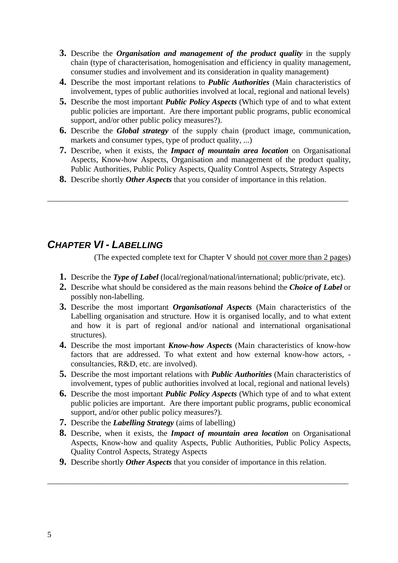- **3.** Describe the *Organisation and management of the product quality* in the supply chain (type of characterisation, homogenisation and efficiency in quality management, consumer studies and involvement and its consideration in quality management)
- **4.** Describe the most important relations to *Public Authorities* (Main characteristics of involvement, types of public authorities involved at local, regional and national levels)
- **5.** Describe the most important *Public Policy Aspects* (Which type of and to what extent public policies are important. Are there important public programs, public economical support, and/or other public policy measures?).
- **6.** Describe the *Global strategy* of the supply chain (product image, communication, markets and consumer types, type of product quality, ...)
- **7.** Describe, when it exists, the *Impact of mountain area location* on Organisational Aspects, Know-how Aspects, Organisation and management of the product quality, Public Authorities, Public Policy Aspects, Quality Control Aspects, Strategy Aspects
- **8.** Describe shortly *Other Aspects* that you consider of importance in this relation.

\_\_\_\_\_\_\_\_\_\_\_\_\_\_\_\_\_\_\_\_\_\_\_\_\_\_\_\_\_\_\_\_\_\_\_\_\_\_\_\_\_\_\_\_\_\_\_\_\_\_\_\_\_\_\_\_\_\_\_\_\_\_\_\_\_\_\_\_\_\_\_\_\_\_\_

#### *CHAPTER VI - LABELLING*

(The expected complete text for Chapter V should not cover more than 2 pages)

- **1.** Describe the *Type of Label* (local/regional/national/international; public/private, etc).
- **2.** Describe what should be considered as the main reasons behind the *Choice of Label* or possibly non-labelling.
- **3.** Describe the most important *Organisational Aspects* (Main characteristics of the Labelling organisation and structure. How it is organised locally, and to what extent and how it is part of regional and/or national and international organisational structures).
- **4.** Describe the most important *Know-how Aspects* (Main characteristics of know-how factors that are addressed. To what extent and how external know-how actors, consultancies, R&D, etc. are involved).
- **5.** Describe the most important relations with *Public Authorities* (Main characteristics of involvement, types of public authorities involved at local, regional and national levels)
- **6.** Describe the most important *Public Policy Aspects* (Which type of and to what extent public policies are important. Are there important public programs, public economical support, and/or other public policy measures?).
- **7.** Describe the *Labelling Strategy* (aims of labelling)
- **8.** Describe, when it exists, the *Impact of mountain area location* on Organisational Aspects, Know-how and quality Aspects, Public Authorities, Public Policy Aspects, Quality Control Aspects, Strategy Aspects
- **9.** Describe shortly *Other Aspects* that you consider of importance in this relation.

\_\_\_\_\_\_\_\_\_\_\_\_\_\_\_\_\_\_\_\_\_\_\_\_\_\_\_\_\_\_\_\_\_\_\_\_\_\_\_\_\_\_\_\_\_\_\_\_\_\_\_\_\_\_\_\_\_\_\_\_\_\_\_\_\_\_\_\_\_\_\_\_\_\_\_